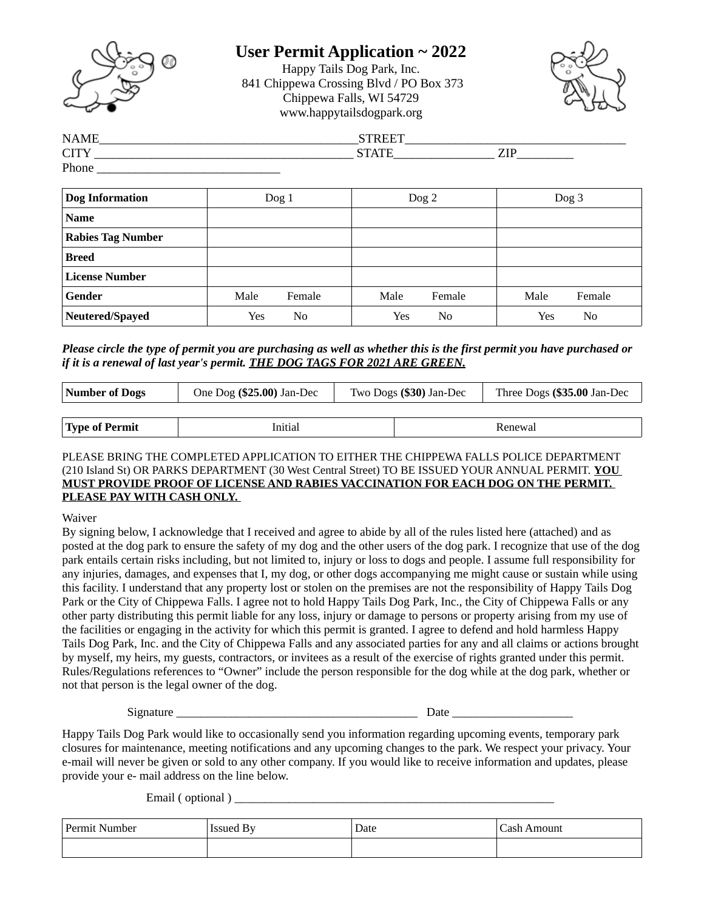

## **User Permit Application ~ 2022**

Happy Tails Dog Park, Inc. 841 Chippewa Crossing Blvd / PO Box 373 Chippewa Falls, WI 54729 www.happytailsdogpark.org



| <b>NAME</b>       | $- - - - -$ |             |  |
|-------------------|-------------|-------------|--|
| $\sqrt{1}$<br>UI. | CTATU       | 71 D<br>--- |  |
| Phone             |             |             |  |

| <b>Dog Information</b>   | Dog <sub>1</sub> | $\log 2$       | Dog <sub>3</sub> |  |
|--------------------------|------------------|----------------|------------------|--|
| <b>Name</b>              |                  |                |                  |  |
| <b>Rabies Tag Number</b> |                  |                |                  |  |
| <b>Breed</b>             |                  |                |                  |  |
| <b>License Number</b>    |                  |                |                  |  |
| Gender                   | Male<br>Female   | Male<br>Female | Male<br>Female   |  |
| Neutered/Spayed          | No<br>Yes        | Yes<br>No      | Yes<br>No        |  |

#### *Please circle the type of permit you are purchasing as well as whether this is the first permit you have purchased or if it is a renewal of last year's permit. THE DOG TAGS FOR 2021 ARE GREEN.*

| Number of Dogs | One Dog (\$25.00) Jan-Dec |  | Two Dogs (\$30) Jan-Dec | Three Dogs (\$35.00 Jan-Dec |  |
|----------------|---------------------------|--|-------------------------|-----------------------------|--|
|                |                           |  |                         |                             |  |
| Type of Permit | Initial                   |  |                         | Renewal                     |  |

#### PLEASE BRING THE COMPLETED APPLICATION TO EITHER THE CHIPPEWA FALLS POLICE DEPARTMENT (210 Island St) OR PARKS DEPARTMENT (30 West Central Street) TO BE ISSUED YOUR ANNUAL PERMIT. **YOU MUST PROVIDE PROOF OF LICENSE AND RABIES VACCINATION FOR EACH DOG ON THE PERMIT. PLEASE PAY WITH CASH ONLY.**

Waiver

By signing below, I acknowledge that I received and agree to abide by all of the rules listed here (attached) and as posted at the dog park to ensure the safety of my dog and the other users of the dog park. I recognize that use of the dog park entails certain risks including, but not limited to, injury or loss to dogs and people. I assume full responsibility for any injuries, damages, and expenses that I, my dog, or other dogs accompanying me might cause or sustain while using this facility. I understand that any property lost or stolen on the premises are not the responsibility of Happy Tails Dog Park or the City of Chippewa Falls. I agree not to hold Happy Tails Dog Park, Inc., the City of Chippewa Falls or any other party distributing this permit liable for any loss, injury or damage to persons or property arising from my use of the facilities or engaging in the activity for which this permit is granted. I agree to defend and hold harmless Happy Tails Dog Park, Inc. and the City of Chippewa Falls and any associated parties for any and all claims or actions brought by myself, my heirs, my guests, contractors, or invitees as a result of the exercise of rights granted under this permit. Rules/Regulations references to "Owner" include the person responsible for the dog while at the dog park, whether or not that person is the legal owner of the dog.

Signature \_\_\_\_\_\_\_\_\_\_\_\_\_\_\_\_\_\_\_\_\_\_\_\_\_\_\_\_\_\_\_\_\_\_\_\_\_\_\_\_ Date \_\_\_\_\_\_\_\_\_\_\_\_\_\_\_\_\_\_\_\_

Happy Tails Dog Park would like to occasionally send you information regarding upcoming events, temporary park closures for maintenance, meeting notifications and any upcoming changes to the park. We respect your privacy. Your e-mail will never be given or sold to any other company. If you would like to receive information and updates, please provide your e- mail address on the line below.

Email ( optional )

| Permit Number | Issued By | Date | -<br>Cash Amount |
|---------------|-----------|------|------------------|
|               |           |      |                  |